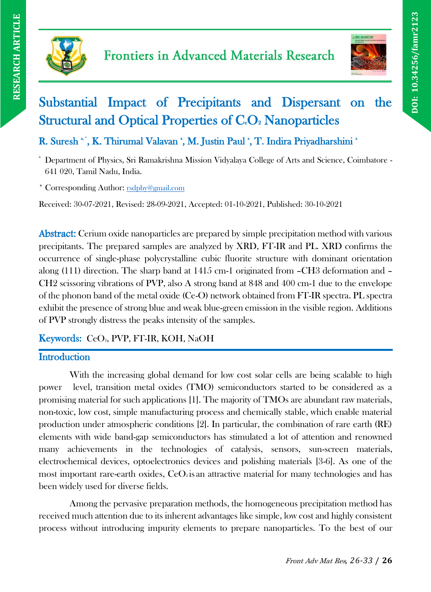



**DOI: 10.34256/famr2123**

DOI: 10.34256/famr2123

# Substantial Impact of Precipitants and Dispersant on the Structural and Optical Properties of C.O. Nanoparticles

R. Suresh \*', K. Thirumal Valavan \*, M. Justin Paul \*, T. Indira Priyadharshini \*

<sup>a</sup> Department of Physics, Sri Ramakrishna Mission Vidyalaya College of Arts and Science, Coimbatore - 641 020, Tamil Nadu, India.

\* Corresponding Author: [rsdphy@gmail.com](mailto:rsdphy@gmail.com)

Received: 30-07-2021, Revised: 28-09-2021, Accepted: 01-10-2021, Published: 30-10-2021

Abstract: Cerium oxide nanoparticles are prepared by simple precipitation method with various precipitants. The prepared samples are analyzed by XRD, FT-IR and PL. XRD confirms the occurrence of single-phase polycrystalline cubic fluorite structure with dominant orientation along (111) direction. The sharp band at 1415 cm-1 originated from –CH3 deformation and – CH2 scissoring vibrations of PVP, also A strong band at 848 and 400 cm-1 due to the envelope of the phonon band of the metal oxide (Ce-O) network obtained from FT-IR spectra. PL spectra exhibit the presence of strong blue and weak blue-green emission in the visible region. Additions of PVP strongly distress the peaks intensity of the samples.

## Keywords: CeO<sub>2</sub>, PVP, FT-IR, KOH, NaOH

## **Introduction**

With the increasing global demand for low cost solar cells are being scalable to high power level, transition metal oxides (TMO) semiconductors started to be considered as a promising material for such applications [1]. The majority of TMOs are abundant raw materials, non-toxic, low cost, simple manufacturing process and chemically stable, which enable material production under atmospheric conditions [2]. In particular, the combination of rare earth (RE) elements with wide band-gap semiconductors has stimulated a lot of attention and renowned many achievements in the technologies of catalysis, sensors, sun-screen materials, electrochemical devices, optoelectronics devices and polishing materials [3-6]. As one of the most important rare-earth oxides,  $CeO<sub>2</sub>$  is an attractive material for many technologies and has been widely used for diverse fields.

Among the pervasive preparation methods, the homogeneous precipitation method has received much attention due to its inherent advantages like simple, low cost and highly consistent process without introducing impurity elements to prepare nanoparticles. To the best of our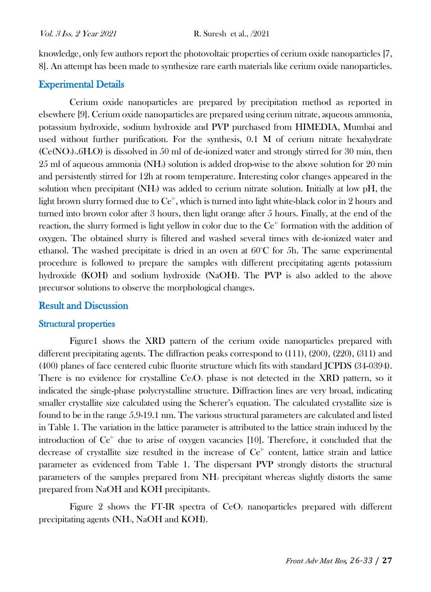knowledge, only few authors report the photovoltaic properties of cerium oxide nanoparticles [7, 8]. An attempt has been made to synthesize rare earth materials like cerium oxide nanoparticles.

#### Experimental Details

Cerium oxide nanoparticles are prepared by precipitation method as reported in elsewhere [9]. Cerium oxide nanoparticles are prepared using cerium nitrate, aqueous ammonia, potassium hydroxide, sodium hydroxide and PVP purchased from HIMEDIA, Mumbai and used without further purification. For the synthesis, 0.1 M of cerium nitrate hexahydrate  $(Ce(NO<sub>3</sub>)<sub>3</sub>·6H<sub>2</sub>O)$  is dissolved in 50 ml of de-ionized water and strongly stirred for 30 min, then 25 ml of aqueous ammonia (NH3) solution is added drop-wise to the above solution for 20 min and persistently stirred for 12h at room temperature. Interesting color changes appeared in the solution when precipitant  $(NH<sub>3</sub>)$  was added to cerium nitrate solution. Initially at low pH, the light brown slurry formed due to  $Ce^{3}$ , which is turned into light white-black color in 2 hours and turned into brown color after 3 hours, then light orange after 5 hours. Finally, at the end of the reaction, the slurry formed is light yellow in color due to the Ce<sup>++</sup> formation with the addition of oxygen. The obtained slurry is filtered and washed several times with de-ionized water and ethanol. The washed precipitate is dried in an oven at  $60^{\circ}$ C for 5h. The same experimental procedure is followed to prepare the samples with different precipitating agents potassium hydroxide (KOH) and sodium hydroxide (NaOH). The PVP is also added to the above precursor solutions to observe the morphological changes.

#### Result and Discussion

#### Structural properties

Figure1 shows the XRD pattern of the cerium oxide nanoparticles prepared with different precipitating agents. The diffraction peaks correspond to (111), (200), (220), (311) and (400) planes of face centered cubic fluorite structure which fits with standard JCPDS (34-0394). There is no evidence for crystalline  $Ce<sub>2</sub>O<sub>3</sub>$  phase is not detected in the XRD pattern, so it indicated the single-phase polycrystalline structure. Diffraction lines are very broad, indicating smaller crystallite size calculated using the Scherer's equation. The calculated crystallite size is found to be in the range 5.9-19.1 nm. The various structural parameters are calculated and listed in Table 1. The variation in the lattice parameter is attributed to the lattice strain induced by the introduction of  $Ce^{3+}$  due to arise of oxygen vacancies [10]. Therefore, it concluded that the decrease of crystallite size resulted in the increase of  $Ce<sup>3+</sup>$  content, lattice strain and lattice parameter as evidenced from Table 1. The dispersant PVP strongly distorts the structural parameters of the samples prepared from NH<sup>3</sup> precipitant whereas slightly distorts the same prepared from NaOH and KOH precipitants.

Figure 2 shows the FT-IR spectra of  $CeO<sub>2</sub>$  nanoparticles prepared with different precipitating agents (NH3, NaOH and KOH).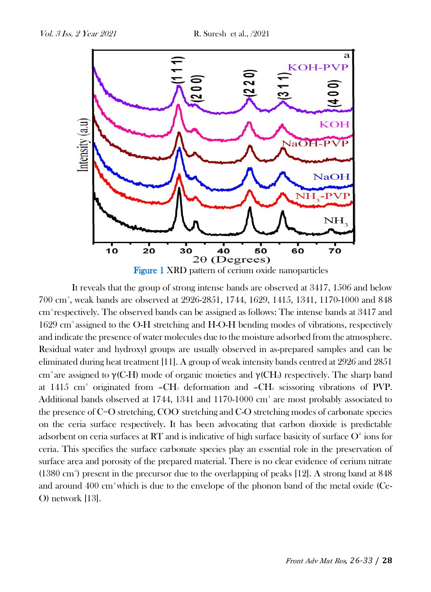

It reveals that the group of strong intense bands are observed at 3417, 1506 and below 700 cm-1 , weak bands are observed at 2926-2851, 1744, 1629, 1415, 1341, 1170-1000 and 848 cm<sup>1</sup> respectively. The observed bands can be assigned as follows: The intense bands at 3417 and 1629 cm<sup>-1</sup> assigned to the O-H stretching and H-O-H bending modes of vibrations, respectively and indicate the presence of water molecules due to the moisture adsorbed from the atmosphere. Residual water and hydroxyl groups are usually observed in as-prepared samples and can be eliminated during heat treatment [11]. A group of weak intensity bands centred at 2926 and 2851 cm<sup>-1</sup> are assigned to  $\gamma$ (C-H) mode of organic moieties and  $\gamma$ (CH<sub>2</sub>) respectively. The sharp band at  $1415$  cm<sup>-1</sup> originated from  $-CH_3$  deformation and  $-CH_2$  scissoring vibrations of PVP. Additional bands observed at 1744, 1341 and 1170-1000 cm<sup>4</sup> are most probably associated to the presence of C=O stretching, COO-stretching and C-O stretching modes of carbonate species on the ceria surface respectively. It has been advocating that carbon dioxide is predictable adsorbent on ceria surfaces at  $\operatorname{RT}$  and is indicative of high surface basicity of surface  $\operatorname{O}^2$  ions for ceria. This specifies the surface carbonate species play an essential role in the preservation of surface area and porosity of the prepared material. There is no clear evidence of cerium nitrate (1380 cm<sup>-1</sup>) present in the precursor due to the overlapping of peaks [12]. A strong band at 848 and around  $400 \text{ cm}^3$  which is due to the envelope of the phonon band of the metal oxide (Ce-O) network [13].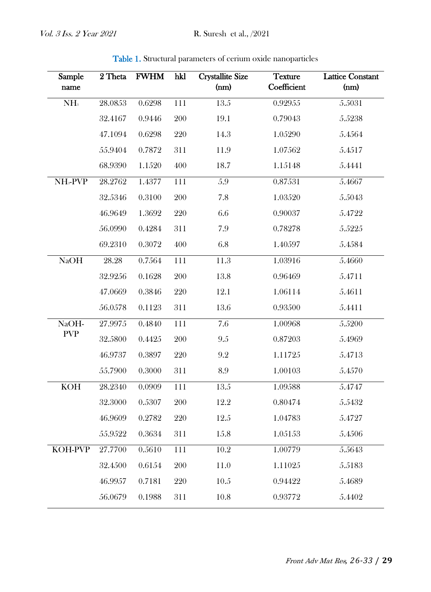| Sample<br>name       | 2 Theta | <b>FWHM</b> | hkl              | <b>Crystallite Size</b><br>(nm) | <b>Texture</b><br>Coefficient | <b>Lattice Constant</b><br>(mm) |
|----------------------|---------|-------------|------------------|---------------------------------|-------------------------------|---------------------------------|
| NH <sub>3</sub>      | 28.0853 | 0.6298      | $\overline{111}$ | 13.5                            | 0.92955                       | 5.5031                          |
|                      | 32.4167 | 0.9446      | 200              | 19.1                            | 0.79043                       | 5.5238                          |
|                      | 47.1094 | 0.6298      | 220              | 14.3                            | 1.05290                       | 5.4564                          |
|                      | 55.9404 | 0.7872      | 311              | 11.9                            | 1.07562                       | 5.4517                          |
|                      | 68.9390 | 1.1520      | 400              | 18.7                            | 1.15148                       | 5.4441                          |
| NH <sub>3</sub> -PVP | 28.2762 | 1.4377      | 111              | 5.9                             | 0.87531                       | 5.4667                          |
|                      | 32.5346 | 0.3100      | 200              | 7.8                             | 1.03520                       | 5.5043                          |
|                      | 46.9649 | 1.3692      | 220              | 6.6                             | 0.90037                       | 5.4722                          |
|                      | 56.0990 | 0.4284      | 311              | 7.9                             | 0.78278                       | 5.5225                          |
|                      | 69.2310 | 0.3072      | 400              | 6.8                             | 1.40597                       | $5.4584\,$                      |
| <b>NaOH</b>          | 28.28   | 0.7564      | $\overline{111}$ | 11.3                            | 1.03916                       | 5.4660                          |
|                      | 32.9256 | 0.1628      | 200              | 13.8                            | 0.96469                       | 5.4711                          |
|                      | 47.0669 | 0.3846      | 220              | 12.1                            | 1.06114                       | 5.4611                          |
|                      | 56.0578 | 0.1123      | 311              | 13.6                            | 0.93500                       | 5.4411                          |
| NaOH-<br><b>PVP</b>  | 27.9975 | 0.4840      | 111              | 7.6                             | 1.00968                       | 5.5200                          |
|                      | 32.5800 | 0.4425      | 200              | $9.5\,$                         | 0.87203                       | 5.4969                          |
|                      | 46.9737 | 0.3897      | 220              | $9.2\,$                         | 1.11725                       | 5.4713                          |
|                      | 55.7900 | 0.3000      | 311              | 8.9                             | 1.00103                       | 5.4570                          |
| <b>KOH</b>           | 28.2340 | 0.0909      | 111              | 13.5                            | 1.09588                       | 5.4747                          |
|                      | 32.3000 | 0.5307      | 200              | 12.2                            | 0.80474                       | 5.5432                          |
|                      | 46.9609 | 0.2782      | 220              | 12.5                            | 1.04783                       | 5.4727                          |
|                      | 55.9522 | 0.3634      | 311              | 15.8                            | 1.05153                       | 5.4506                          |
| <b>KOH-PVP</b>       | 27.7700 | 0.5610      | 111              | $10.2\,$                        | 1.00779                       | 5.5643                          |
|                      | 32.4500 | 0.6154      | 200              | 11.0                            | 1.11025                       | 5.5183                          |
|                      | 46.9957 | 0.7181      | 220              | 10.5                            | 0.94422                       | 5.4689                          |
|                      | 56.0679 | 0.1988      | 311              | 10.8                            | 0.93772                       | 5.4402                          |

Table 1. Structural parameters of cerium oxide nanoparticles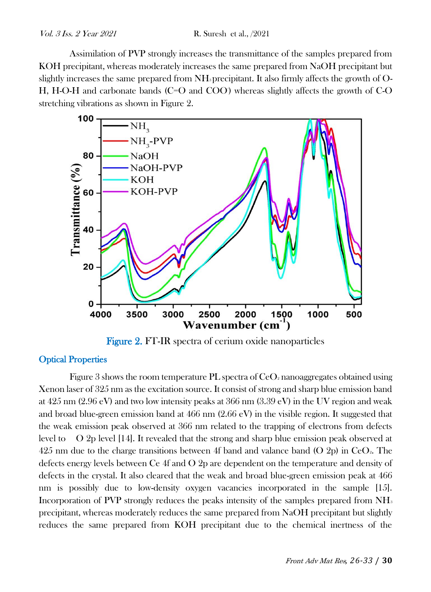Assimilation of PVP strongly increases the transmittance of the samples prepared from KOH precipitant, whereas moderately increases the same prepared from NaOH precipitant but slightly increases the same prepared from NH3 precipitant. It also firmly affects the growth of O-H, H-O-H and carbonate bands  $(C=O)$  and  $COO$ ) whereas slightly affects the growth of  $CO$ stretching vibrations as shown in Figure 2.



Figure 2. FT-IR spectra of cerium oxide nanoparticles

#### **Optical Properties**

Figure 3 shows the room temperature PL spectra of  $CeO<sub>2</sub>$  nanoaggregates obtained using Xenon laser of 325 nm as the excitation source. It consist of strong and sharp blue emission band at  $425 \text{ nm}$  (2.96 eV) and two low intensity peaks at  $366 \text{ nm}$  (3.39 eV) in the UV region and weak and broad blue-green emission band at 466 nm (2.66 eV) in the visible region. It suggested that the weak emission peak observed at 366 nm related to the trapping of electrons from defects level to O 2p level [14]. It revealed that the strong and sharp blue emission peak observed at 425 nm due to the charge transitions between 4f band and valance band (O 2p) in CeO<sub>2</sub>. The defects energy levels between Ce 4f and O 2p are dependent on the temperature and density of defects in the crystal. It also cleared that the weak and broad blue-green emission peak at 466 nm is possibly due to low-density oxygen vacancies incorporated in the sample [15]. Incorporation of PVP strongly reduces the peaks intensity of the samples prepared from NH<sub>3</sub> precipitant, whereas moderately reduces the same prepared from NaOH precipitant but slightly reduces the same prepared from KOH precipitant due to the chemical inertness of the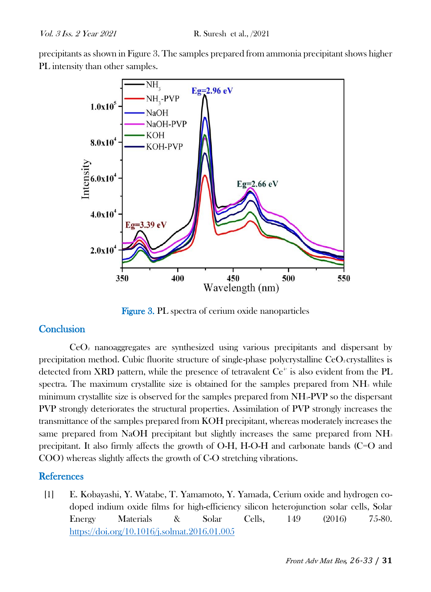precipitants as shown in Figure 3. The samples prepared from ammonia precipitant shows higher PL intensity than other samples.



Figure 3. PL spectra of cerium oxide nanoparticles

### **Conclusion**

 $CeO<sub>2</sub>$  nanoaggregates are synthesized using various precipitants and dispersant by precipitation method. Cubic fluorite structure of single-phase polycrystalline  $CeO<sub>2</sub>$  crystallites is detected from XRD pattern, while the presence of tetravalent  $Ce^+$  is also evident from the PL spectra. The maximum crystallite size is obtained for the samples prepared from  $NH<sub>3</sub>$  while minimum crystallite size is observed for the samples prepared from NH3-PVP so the dispersant PVP strongly deteriorates the structural properties. Assimilation of PVP strongly increases the transmittance of the samples prepared from KOH precipitant, whereas moderately increases the same prepared from NaOH precipitant but slightly increases the same prepared from NH<sub>3</sub> precipitant. It also firmly affects the growth of O-H, H-O-H and carbonate bands (C=O and COO) whereas slightly affects the growth of C-O stretching vibrations.

### **References**

[1] E. Kobayashi, Y. Watabe, T. Yamamoto, Y. Yamada, Cerium oxide and hydrogen codoped indium oxide films for high-efficiency silicon heterojunction solar cells, Solar Energy Materials & Solar Cells, 149 (2016) 75-80. <https://doi.org/10.1016/j.solmat.2016.01.005>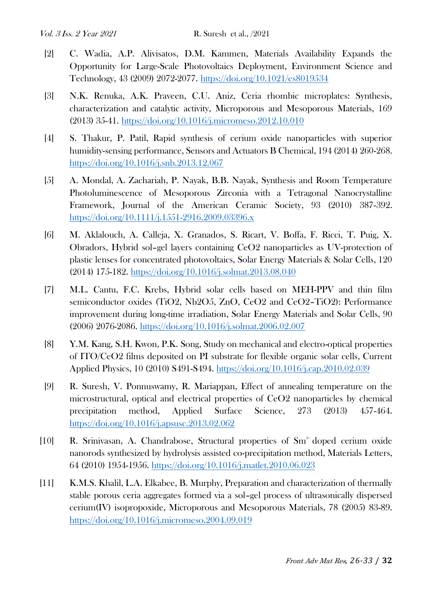- [2] C. Wadia, A.P. Alivisatos, D.M. Kammen, Materials Availability Expands the Opportunity for Large-Scale Photovoltaics Deployment, Environment Science and Technology, 43 (2009) 2072-2077.<https://doi.org/10.1021/es8019534>
- [3] N.K. Renuka, A.K. Praveen, C.U. Aniz, Ceria rhombic microplates: Synthesis, characterization and catalytic activity, Microporous and Mesoporous Materials, 169 (2013) 35-41.<https://doi.org/10.1016/j.micromeso.2012.10.010>
- [4] S. Thakur, P. Patil, Rapid synthesis of cerium oxide nanoparticles with superior humidity-sensing performance, Sensors and Actuators B Chemical, 194 (2014) 260-268. <https://doi.org/10.1016/j.snb.2013.12.067>
- [5] A. Mondal, A. Zachariah, P. Nayak, B.B. Nayak, Synthesis and Room Temperature Photoluminescence of Mesoporous Zirconia with a Tetragonal Nanocrystalline Framework, Journal of the American Ceramic Society, 93 (2010) 387-392. <https://doi.org/10.1111/j.1551-2916.2009.03396.x>
- [6] M. Aklalouch, A. Calleja, X. Granados, S. Ricart, V. Boffa, F. Ricci, T. Puig, X. Obradors, Hybrid sol–gel layers containing CeO2 nanoparticles as UV-protection of plastic lenses for concentrated photovoltaics, Solar Energy Materials & Solar Cells, 120 (2014) 175-182.<https://doi.org/10.1016/j.solmat.2013.08.040>
- [7] M.L. Cantu, F.C. Krebs, Hybrid solar cells based on MEH-PPV and thin film semiconductor oxides (TiO2, Nb2O5, ZnO, CeO2 and CeO2–TiO2): Performance improvement during long-time irradiation, Solar Energy Materials and Solar Cells, 90 (2006) 2076-2086.<https://doi.org/10.1016/j.solmat.2006.02.007>
- [8] Y.M. Kang, S.H. Kwon, P.K. Song, Study on mechanical and electro-optical properties of ITO/CeO2 films deposited on PI substrate for flexible organic solar cells, Current Applied Physics, 10 (2010) S491-S494.<https://doi.org/10.1016/j.cap.2010.02.039>
- [9] R. Suresh, V. Ponnuswamy, R. Mariappan, Effect of annealing temperature on the microstructural, optical and electrical properties of CeO2 nanoparticles by chemical precipitation method, Applied Surface Science, 273 (2013) 457-464. <https://doi.org/10.1016/j.apsusc.2013.02.062>
- [10] R. Srinivasan, A. Chandrabose, Structural properties of Sm<sup>3+</sup> doped cerium oxide nanorods synthesized by hydrolysis assisted co-precipitation method, Materials Letters, 64 (2010) 1954-1956.<https://doi.org/10.1016/j.matlet.2010.06.023>
- [11] K.M.S. Khalil, L.A. Elkabee, B. Murphy, Preparation and characterization of thermally stable porous ceria aggregates formed via a sol–gel process of ultrasonically dispersed cerium(IV) isopropoxide, Microporous and Mesoporous Materials, 78 (2005) 83-89. <https://doi.org/10.1016/j.micromeso.2004.09.019>